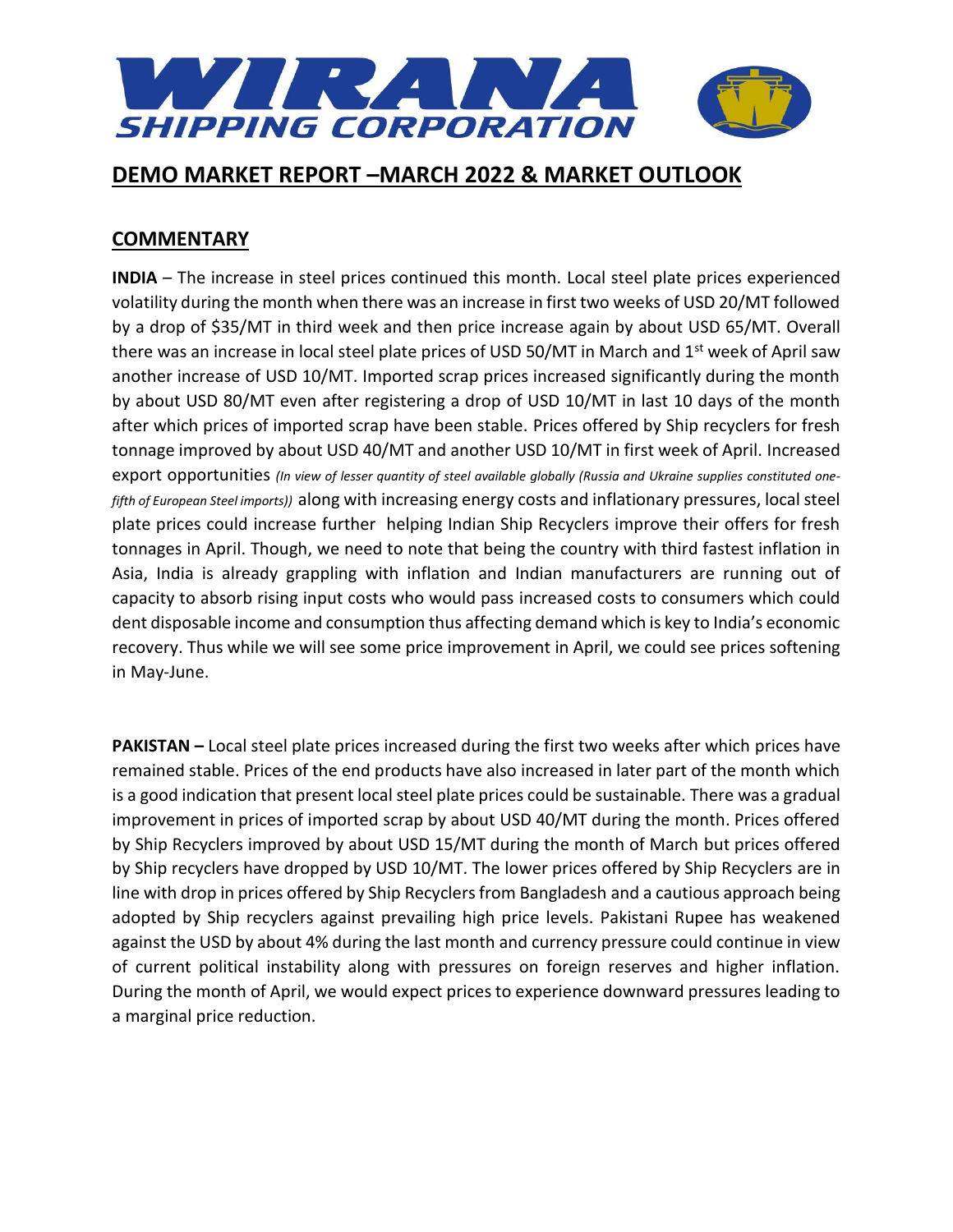

## **COMMENTARY**

**INDIA** – The increase in steel prices continued this month. Local steel plate prices experienced volatility during the month when there was an increase in first two weeks of USD 20/MT followed by a drop of \$35/MT in third week and then price increase again by about USD 65/MT. Overall there was an increase in local steel plate prices of USD 50/MT in March and  $1<sup>st</sup>$  week of April saw another increase of USD 10/MT. Imported scrap prices increased significantly during the month by about USD 80/MT even after registering a drop of USD 10/MT in last 10 days of the month after which prices of imported scrap have been stable. Prices offered by Ship recyclers for fresh tonnage improved by about USD 40/MT and another USD 10/MT in first week of April. Increased export opportunities *(In view of lesser quantity of steel available globally (Russia and Ukraine supplies constituted onefifth of European Steel imports))* along with increasing energy costs and inflationary pressures, local steel plate prices could increase further helping Indian Ship Recyclers improve their offers for fresh tonnages in April. Though, we need to note that being the country with third fastest inflation in Asia, India is already grappling with inflation and Indian manufacturers are running out of capacity to absorb rising input costs who would pass increased costs to consumers which could dent disposable income and consumption thus affecting demand which is key to India's economic recovery. Thus while we will see some price improvement in April, we could see prices softening in May-June.

**PAKISTAN –** Local steel plate prices increased during the first two weeks after which prices have remained stable. Prices of the end products have also increased in later part of the month which is a good indication that present local steel plate prices could be sustainable. There was a gradual improvement in prices of imported scrap by about USD 40/MT during the month. Prices offered by Ship Recyclers improved by about USD 15/MT during the month of March but prices offered by Ship recyclers have dropped by USD 10/MT. The lower prices offered by Ship Recyclers are in line with drop in prices offered by Ship Recyclers from Bangladesh and a cautious approach being adopted by Ship recyclers against prevailing high price levels. Pakistani Rupee has weakened against the USD by about 4% during the last month and currency pressure could continue in view of current political instability along with pressures on foreign reserves and higher inflation. During the month of April, we would expect prices to experience downward pressures leading to a marginal price reduction.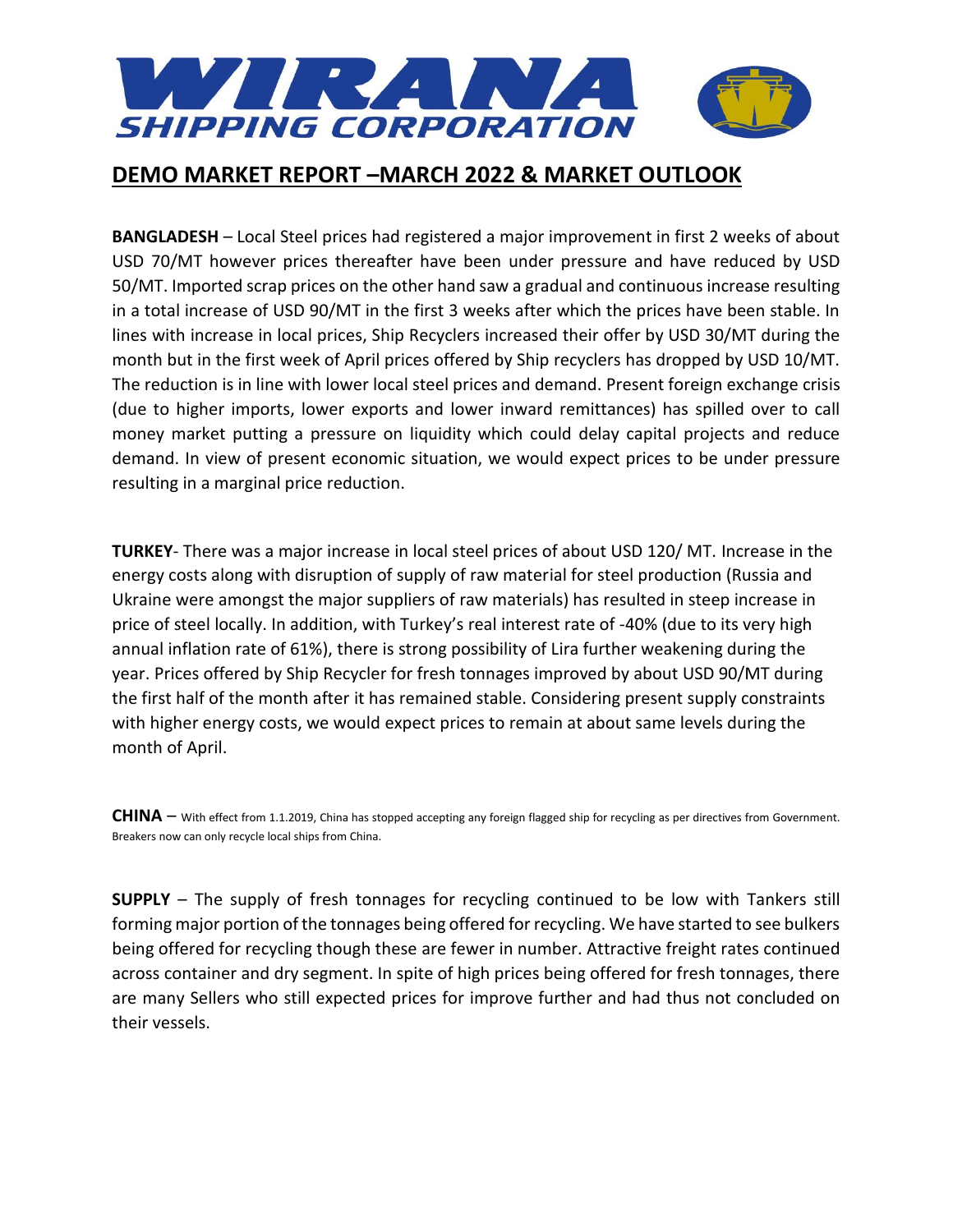

**BANGLADESH** – Local Steel prices had registered a major improvement in first 2 weeks of about USD 70/MT however prices thereafter have been under pressure and have reduced by USD 50/MT. Imported scrap prices on the other hand saw a gradual and continuous increase resulting in a total increase of USD 90/MT in the first 3 weeks after which the prices have been stable. In lines with increase in local prices, Ship Recyclers increased their offer by USD 30/MT during the month but in the first week of April prices offered by Ship recyclers has dropped by USD 10/MT. The reduction is in line with lower local steel prices and demand. Present foreign exchange crisis (due to higher imports, lower exports and lower inward remittances) has spilled over to call money market putting a pressure on liquidity which could delay capital projects and reduce demand. In view of present economic situation, we would expect prices to be under pressure resulting in a marginal price reduction.

**TURKEY**- There was a major increase in local steel prices of about USD 120/ MT. Increase in the energy costs along with disruption of supply of raw material for steel production (Russia and Ukraine were amongst the major suppliers of raw materials) has resulted in steep increase in price of steel locally. In addition, with Turkey's real interest rate of -40% (due to its very high annual inflation rate of 61%), there is strong possibility of Lira further weakening during the year. Prices offered by Ship Recycler for fresh tonnages improved by about USD 90/MT during the first half of the month after it has remained stable. Considering present supply constraints with higher energy costs, we would expect prices to remain at about same levels during the month of April.

**CHINA** – With effect from 1.1.2019, China has stopped accepting any foreign flagged ship for recycling as per directives from Government. Breakers now can only recycle local ships from China.

**SUPPLY** – The supply of fresh tonnages for recycling continued to be low with Tankers still forming major portion of the tonnages being offered for recycling. We have started to see bulkers being offered for recycling though these are fewer in number. Attractive freight rates continued across container and dry segment. In spite of high prices being offered for fresh tonnages, there are many Sellers who still expected prices for improve further and had thus not concluded on their vessels.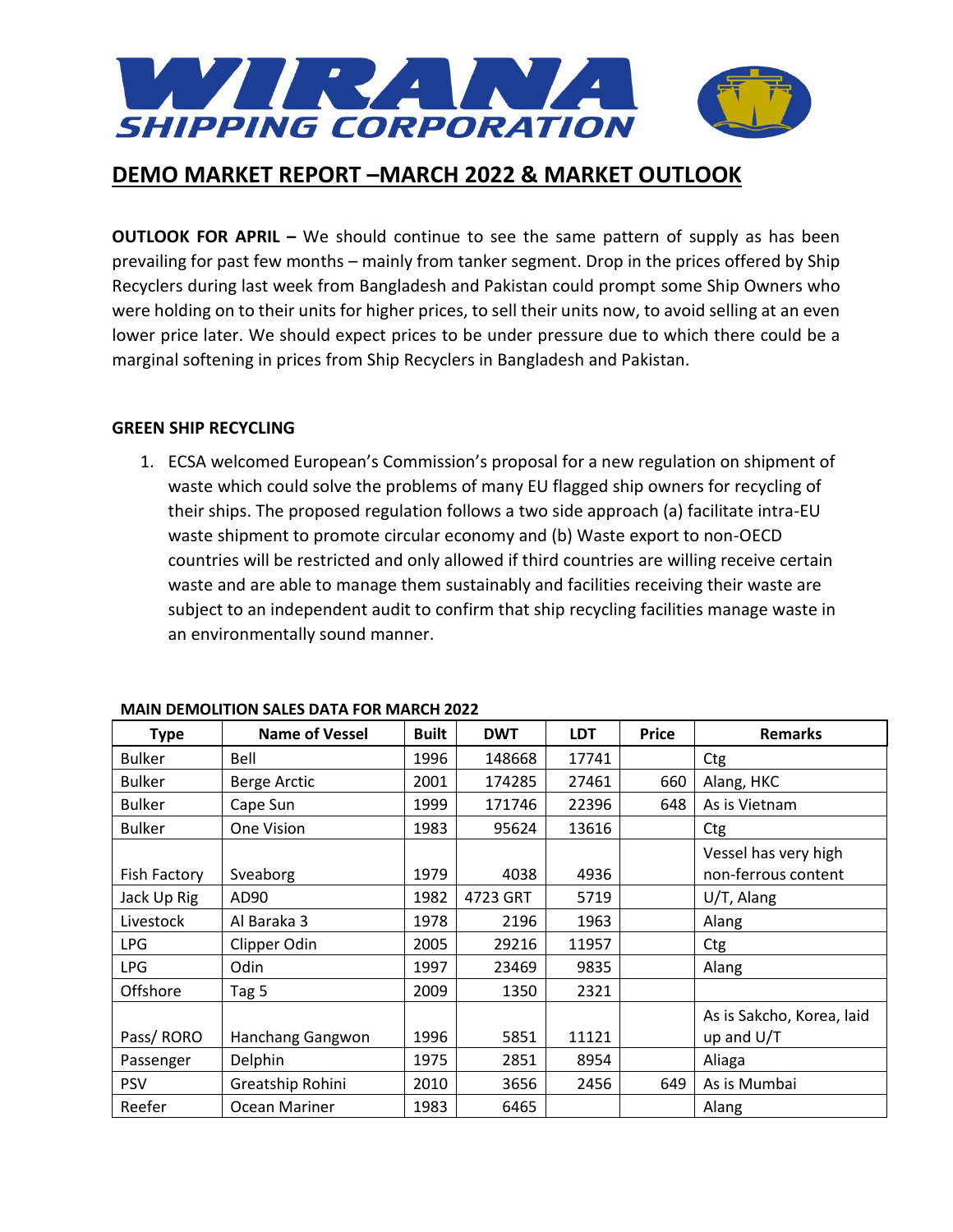

**OUTLOOK FOR APRIL –** We should continue to see the same pattern of supply as has been prevailing for past few months – mainly from tanker segment. Drop in the prices offered by Ship Recyclers during last week from Bangladesh and Pakistan could prompt some Ship Owners who were holding on to their units for higher prices, to sell their units now, to avoid selling at an even lower price later. We should expect prices to be under pressure due to which there could be a marginal softening in prices from Ship Recyclers in Bangladesh and Pakistan.

### **GREEN SHIP RECYCLING**

1. ECSA welcomed European's Commission's proposal for a new regulation on shipment of waste which could solve the problems of many EU flagged ship owners for recycling of their ships. The proposed regulation follows a two side approach (a) facilitate intra-EU waste shipment to promote circular economy and (b) Waste export to non-OECD countries will be restricted and only allowed if third countries are willing receive certain waste and are able to manage them sustainably and facilities receiving their waste are subject to an independent audit to confirm that ship recycling facilities manage waste in an environmentally sound manner.

| <b>Type</b>         | <b>Name of Vessel</b> | <b>Built</b> | <b>DWT</b> | <b>LDT</b> | <b>Price</b> | <b>Remarks</b>                              |
|---------------------|-----------------------|--------------|------------|------------|--------------|---------------------------------------------|
| <b>Bulker</b>       | Bell                  | 1996         | 148668     | 17741      |              | Ctg                                         |
| <b>Bulker</b>       | Berge Arctic          | 2001         | 174285     | 27461      | 660          | Alang, HKC                                  |
| <b>Bulker</b>       | Cape Sun              | 1999         | 171746     | 22396      | 648          | As is Vietnam                               |
| <b>Bulker</b>       | One Vision            | 1983         | 95624      | 13616      |              | Ctg                                         |
| <b>Fish Factory</b> | Sveaborg              | 1979         | 4038       | 4936       |              | Vessel has very high<br>non-ferrous content |
| Jack Up Rig         | AD90                  | 1982         | 4723 GRT   | 5719       |              | $U/T$ , Alang                               |
| Livestock           | Al Baraka 3           | 1978         | 2196       | 1963       |              | Alang                                       |
| <b>LPG</b>          | Clipper Odin          | 2005         | 29216      | 11957      |              | Ctg                                         |
| <b>LPG</b>          | Odin                  | 1997         | 23469      | 9835       |              | Alang                                       |
| Offshore            | Tag 5                 | 2009         | 1350       | 2321       |              |                                             |
| Pass/RORO           | Hanchang Gangwon      | 1996         | 5851       | 11121      |              | As is Sakcho, Korea, laid<br>up and $U/T$   |
| Passenger           | Delphin               | 1975         | 2851       | 8954       |              | Aliaga                                      |
| <b>PSV</b>          | Greatship Rohini      | 2010         | 3656       | 2456       | 649          | As is Mumbai                                |
| Reefer              | Ocean Mariner         | 1983         | 6465       |            |              | Alang                                       |

#### **MAIN DEMOLITION SALES DATA FOR MARCH 2022**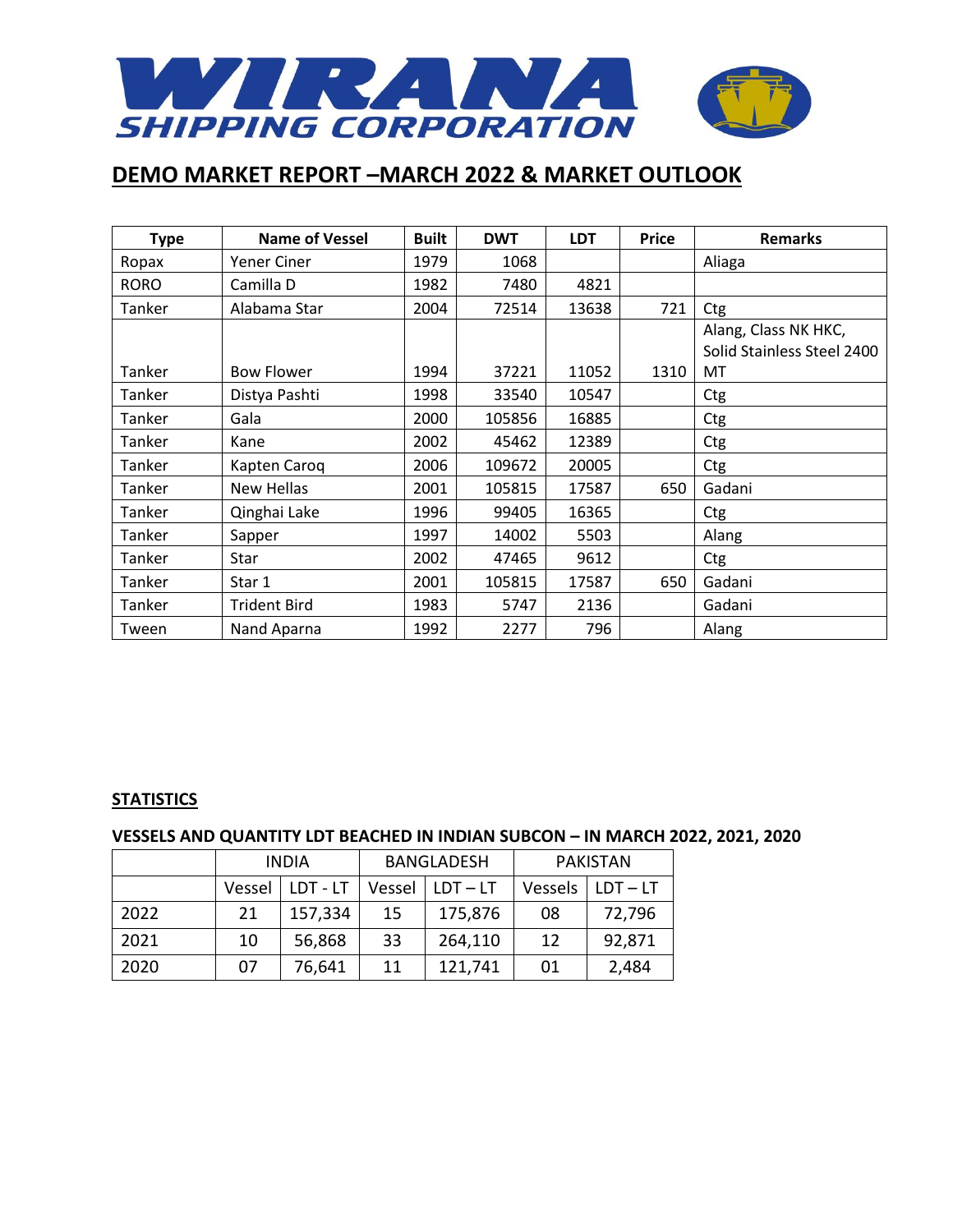

| <b>Type</b> | <b>Name of Vessel</b> | <b>Built</b> | <b>DWT</b> | <b>LDT</b> | <b>Price</b> | <b>Remarks</b>             |
|-------------|-----------------------|--------------|------------|------------|--------------|----------------------------|
| Ropax       | Yener Ciner           | 1979         | 1068       |            |              | Aliaga                     |
| <b>RORO</b> | Camilla D             | 1982         | 7480       | 4821       |              |                            |
| Tanker      | Alabama Star          | 2004         | 72514      | 13638      | 721          | Ctg                        |
|             |                       |              |            |            |              | Alang, Class NK HKC,       |
|             |                       |              |            |            |              | Solid Stainless Steel 2400 |
| Tanker      | <b>Bow Flower</b>     | 1994         | 37221      | 11052      | 1310         | MT                         |
| Tanker      | Distya Pashti         | 1998         | 33540      | 10547      |              | Ctg                        |
| Tanker      | Gala                  | 2000         | 105856     | 16885      |              | Ctg                        |
| Tanker      | Kane                  | 2002         | 45462      | 12389      |              | Ctg                        |
| Tanker      | Kapten Caroq          | 2006         | 109672     | 20005      |              | Ctg                        |
| Tanker      | New Hellas            | 2001         | 105815     | 17587      | 650          | Gadani                     |
| Tanker      | Qinghai Lake          | 1996         | 99405      | 16365      |              | Ctg                        |
| Tanker      | Sapper                | 1997         | 14002      | 5503       |              | Alang                      |
| Tanker      | Star                  | 2002         | 47465      | 9612       |              | Ctg                        |
| Tanker      | Star 1                | 2001         | 105815     | 17587      | 650          | Gadani                     |
| Tanker      | <b>Trident Bird</b>   | 1983         | 5747       | 2136       |              | Gadani                     |
| Tween       | Nand Aparna           | 1992         | 2277       | 796        |              | Alang                      |

### **STATISTICS**

### **VESSELS AND QUANTITY LDT BEACHED IN INDIAN SUBCON – IN MARCH 2022, 2021, 2020**

|      | <b>INDIA</b> |          | <b>BANGLADESH</b> |            | <b>PAKISTAN</b> |            |
|------|--------------|----------|-------------------|------------|-----------------|------------|
|      | Vessel       | LDT - LT | Vessel            | $LDT - LT$ | Vessels         | $LDT - LT$ |
| 2022 | 21           | 157,334  | 15                | 175,876    | 08              | 72,796     |
| 2021 | 10           | 56,868   | 33                | 264,110    | 12              | 92,871     |
| 2020 | 07           | 76,641   | 11                | 121,741    | 01              | 2,484      |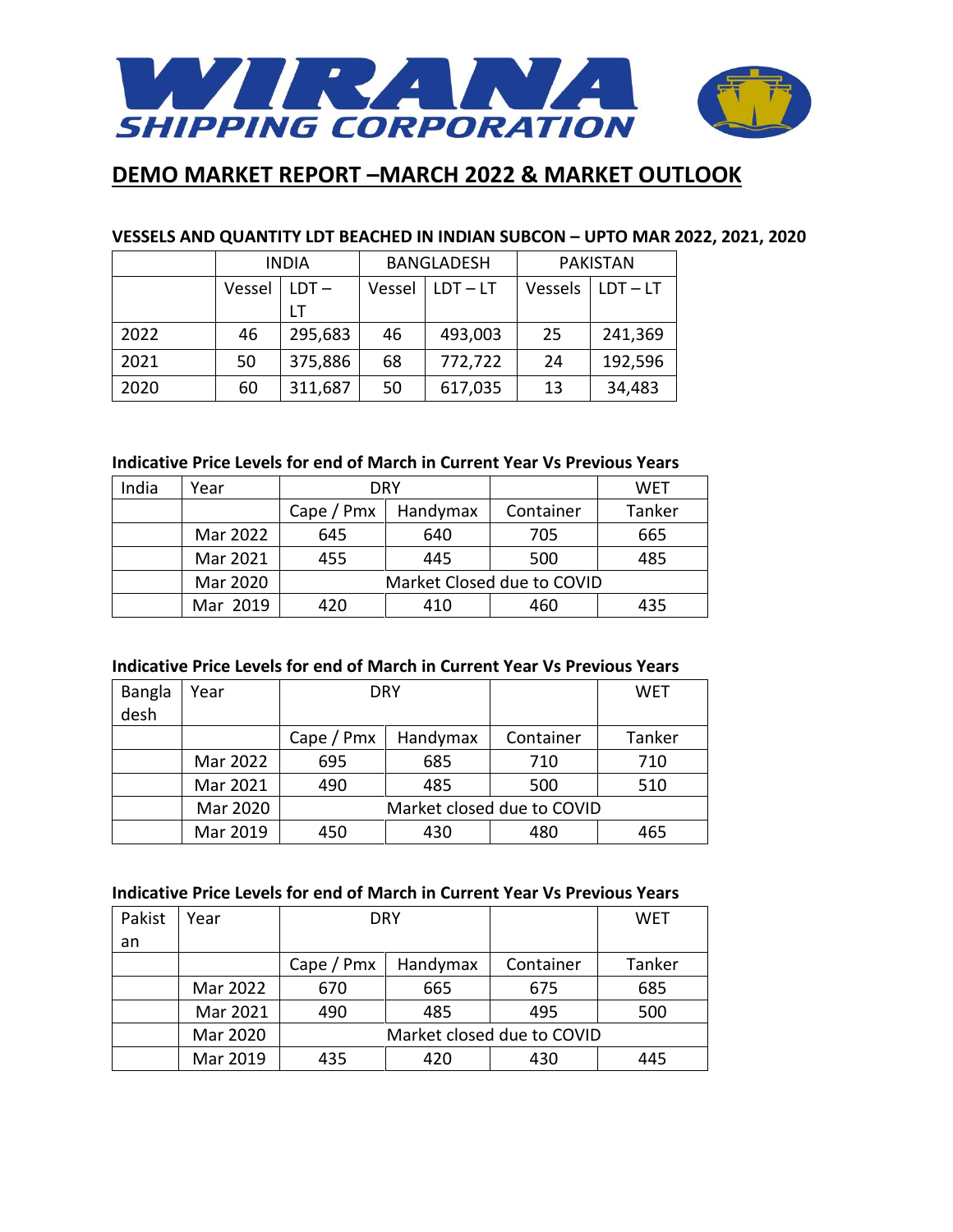

### **VESSELS AND QUANTITY LDT BEACHED IN INDIAN SUBCON – UPTO MAR 2022, 2021, 2020**

|      | <b>INDIA</b> |         | <b>BANGLADESH</b> |            | <b>PAKISTAN</b> |            |
|------|--------------|---------|-------------------|------------|-----------------|------------|
|      | Vessel       | $LDT -$ | Vessel            | $LDT - LT$ | Vessels         | $LDT - LT$ |
|      |              |         |                   |            |                 |            |
| 2022 | 46           | 295,683 | 46                | 493,003    | 25              | 241,369    |
| 2021 | 50           | 375,886 | 68                | 772,722    | 24              | 192,596    |
| 2020 | 60           | 311,687 | 50                | 617,035    | 13              | 34,483     |

#### **Indicative Price Levels for end of March in Current Year Vs Previous Years**

| India | Year     |                            | <b>DRY</b> |           | WET    |
|-------|----------|----------------------------|------------|-----------|--------|
|       |          | Cape / Pmx                 | Handymax   | Container | Tanker |
|       | Mar 2022 | 645                        | 640        | 705       | 665    |
|       | Mar 2021 | 455                        | 445        | 500       | 485    |
|       | Mar 2020 | Market Closed due to COVID |            |           |        |
|       | Mar 2019 | 420                        | 410        | 460       | 435    |

#### **Indicative Price Levels for end of March in Current Year Vs Previous Years**

| <b>Bangla</b> | Year     |                            | <b>DRY</b> |           | WET    |  |
|---------------|----------|----------------------------|------------|-----------|--------|--|
| desh          |          |                            |            |           |        |  |
|               |          | Cape $/$ Pm $x$            | Handymax   | Container | Tanker |  |
|               | Mar 2022 | 695                        | 685        | 710       | 710    |  |
|               | Mar 2021 | 490                        | 485        | 500       | 510    |  |
|               | Mar 2020 | Market closed due to COVID |            |           |        |  |
|               | Mar 2019 | 450                        | 430        | 480       | 465    |  |

### **Indicative Price Levels for end of March in Current Year Vs Previous Years**

| Pakist | Year     |                            | <b>DRY</b> |           | <b>WET</b> |
|--------|----------|----------------------------|------------|-----------|------------|
| an     |          |                            |            |           |            |
|        |          | Cape / Pmx                 | Handymax   | Container | Tanker     |
|        | Mar 2022 | 670                        | 665        | 675       | 685        |
|        | Mar 2021 | 490                        | 485        | 495       | 500        |
|        | Mar 2020 | Market closed due to COVID |            |           |            |
|        | Mar 2019 | 435                        | 420        | 430       | 445        |